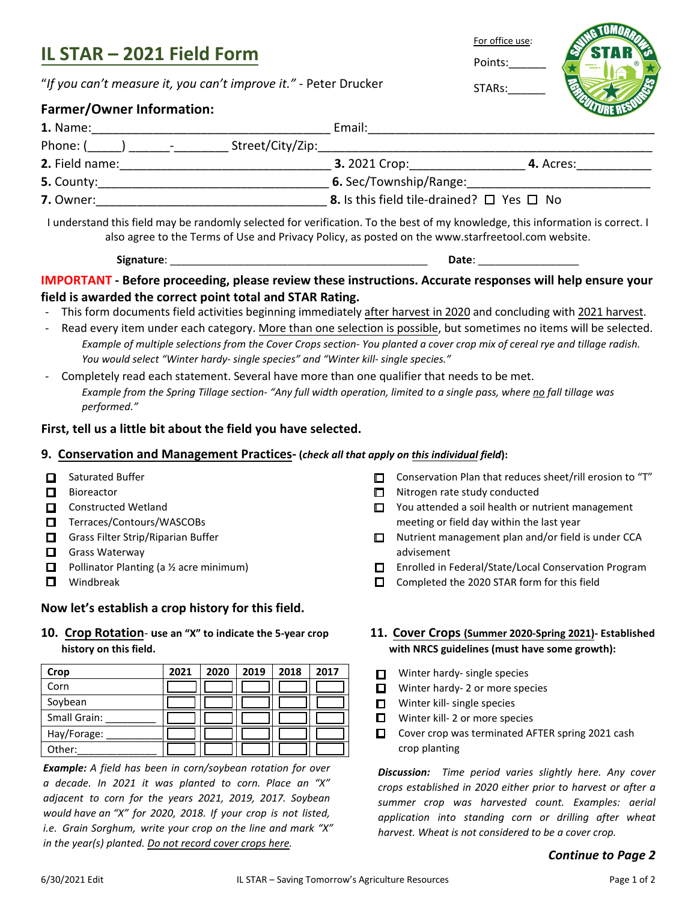# **IL STAR – 2021 Field Form**

"*If you can't measure it, you can't improve it." -* Peter Drucker

### **Farmer/Owner Information:**

| 1. Name:                                             | Email:                                                     |  |  |  |
|------------------------------------------------------|------------------------------------------------------------|--|--|--|
| Phone: (<br>Street/City/Zip:<br>and the state of the |                                                            |  |  |  |
| 2. Field name:                                       | <b>3.</b> 2021 Crop:<br><b>4.</b> Acres:                   |  |  |  |
| 5. County:                                           | 6. Sec/Township/Range:                                     |  |  |  |
| 7. Owner:                                            | <b>8.</b> Is this field tile-drained? $\Box$ Yes $\Box$ No |  |  |  |

I understand this field may be randomly selected for verification. To the best of my knowledge, this information is correct. I also agree to the Terms of Use and Privacy Policy, as posted on the www.starfreetool.com website.

**Signature**: \_\_\_\_\_\_\_\_\_\_\_\_\_\_\_\_\_\_\_\_\_\_\_\_\_\_\_\_\_\_\_\_\_\_\_\_\_\_\_\_\_\_\_\_\_\_ **Date**: \_\_\_\_\_\_\_\_\_\_\_\_\_\_\_\_\_\_

#### **IMPORTANT - Before proceeding, please review these instructions. Accurate responses will help ensure your field is awarded the correct point total and STAR Rating.**

- This form documents field activities beginning immediately after harvest in 2020 and concluding with 2021 harvest.
- Read every item under each category. More than one selection is possible, but sometimes no items will be selected. *Example of multiple selections from the Cover Crops section- You planted a cover crop mix of cereal rye and tillage radish. You would select "Winter hardy- single species" and "Winter kill- single species."*
- Completely read each statement. Several have more than one qualifier that needs to be met. *Example from the Spring Tillage section- "Any full width operation, limited to a single pass, where no fall tillage was performed."*

#### **First, tell us a little bit about the field you have selected.**

#### **9. Conservation and Management Practices- (***check all that apply on this individual field***):**

- $\Box$  Saturated Buffer
- $\Box$  Bioreactor
- $\Box$  Constructed Wetland
- $\Box$  Terraces/Contours/WASCOBs
- $\Box$  Grass Filter Strip/Riparian Buffer
- $\Box$  Grass Waterway
- **D** Pollinator Planting (a  $\frac{1}{2}$  acre minimum)
- $\Box$  Windbreak

#### **Now let's establish a crop history for this field.**

**10. Crop Rotation**- **use an "X" to indicate the 5-year crop history on this field.**

| Crop         | 2021 | 2020 | 2019 | 2018 | 2017 |
|--------------|------|------|------|------|------|
| Corn         |      |      |      |      |      |
| Soybean      |      |      |      |      |      |
| Small Grain: |      |      |      |      |      |
| Hay/Forage:  |      |      |      |      |      |
| Other:       |      |      |      |      |      |

*Example: A field has been in corn/soybean rotation for over a decade. In 2021 it was planted to corn. Place an "X" adjacent to corn for the years 2021, 2019, 2017. Soybean would have an "X" for 2020, 2018. If your crop is not listed, i.e. Grain Sorghum, write your crop on the line and mark "X" in the year(s) planted. Do not record cover crops here.*

- $\square$  Conservation Plan that reduces sheet/rill erosion to "T"
- $\Box$  Nitrogen rate study conducted
- $\Box$  You attended a soil health or nutrient management meeting or field day within the last year

For office use:

Points:

STARs:\_\_\_\_\_\_

- $\Box$  Nutrient management plan and/or field is under CCA advisement
- □ Enrolled in Federal/State/Local Conservation Program
- $\Box$  Completed the 2020 STAR form for this field

#### **11. Cover Crops (Summer 2020-Spring 2021)- Established with NRCS guidelines (must have some growth):**

- $\Box$ Winter hardy- single species
- $\Box$  Winter hardy- 2 or more species
- $\Box$  Winter kill- single species
- $\Box$  Winter kill- 2 or more species
- $\Box$  Cover crop was terminated AFTER spring 2021 cash crop planting

*Discussion: Time period varies slightly here. Any cover crops established in 2020 either prior to harvest or after a summer crop was harvested count. Examples: aerial application into standing corn or drilling after wheat harvest. Wheat is not considered to be a cover crop.*

#### *Continue to Page 2*